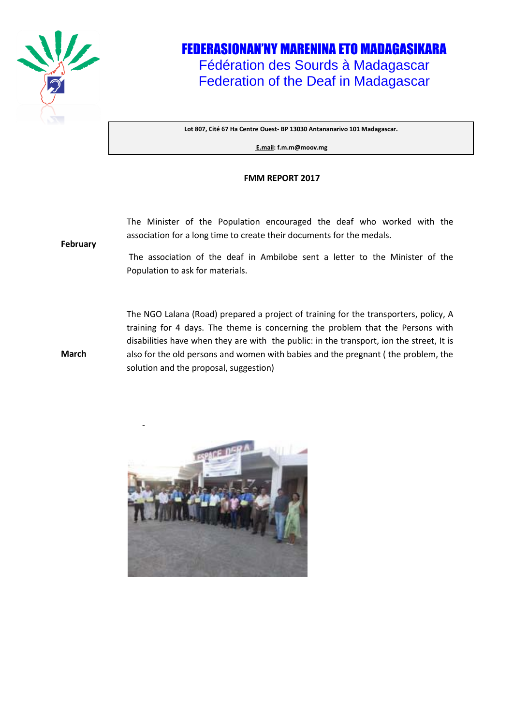

## FEDERASIONAN'NY MARENINA ETO MADAGASIKARA Fédération des Sourds à Madagascar Federation of the Deaf in Madagascar

**Lot 807, Cité 67 Ha Centre Ouest- BP 13030 Antananarivo 101 Madagascar.** 

**E.mail: f.m.m@moov.mg**

## **FMM REPORT 2017**

The Minister of the Population encouraged the deaf who worked with the association for a long time to create their documents for the medals.

**February**

**March**

-

The association of the deaf in Ambilobe sent a letter to the Minister of the Population to ask for materials.

The NGO Lalana (Road) prepared a project of training for the transporters, policy, A training for 4 days. The theme is concerning the problem that the Persons with disabilities have when they are with the public: in the transport, ion the street, It is also for the old persons and women with babies and the pregnant ( the problem, the solution and the proposal, suggestion)

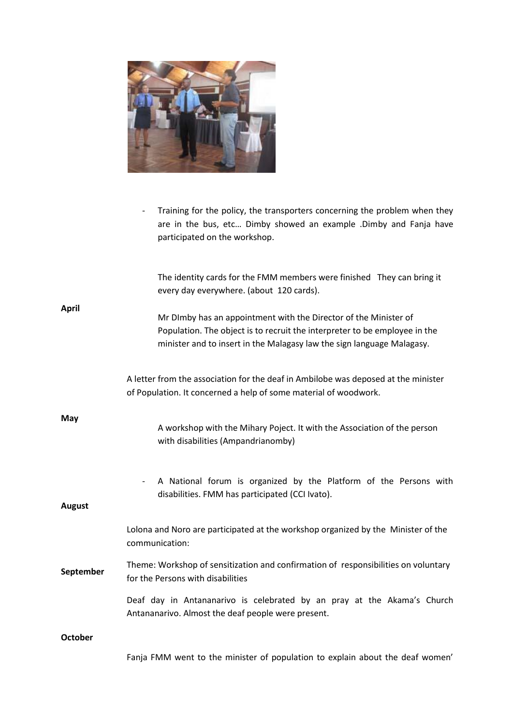

- Training for the policy, the transporters concerning the problem when they are in the bus, etc… Dimby showed an example .Dimby and Fanja have participated on the workshop.

| <b>April</b>   | The identity cards for the FMM members were finished They can bring it<br>every day everywhere. (about 120 cards).                                                                                                       |
|----------------|--------------------------------------------------------------------------------------------------------------------------------------------------------------------------------------------------------------------------|
|                | Mr DImby has an appointment with the Director of the Minister of<br>Population. The object is to recruit the interpreter to be employee in the<br>minister and to insert in the Malagasy law the sign language Malagasy. |
| May            | A letter from the association for the deaf in Ambilobe was deposed at the minister<br>of Population. It concerned a help of some material of woodwork.                                                                   |
|                | A workshop with the Mihary Poject. It with the Association of the person<br>with disabilities (Ampandrianomby)                                                                                                           |
| <b>August</b>  | A National forum is organized by the Platform of the Persons with<br>$\overline{\phantom{a}}$<br>disabilities. FMM has participated (CCI Ivato).                                                                         |
| September      | Lolona and Noro are participated at the workshop organized by the Minister of the<br>communication:                                                                                                                      |
|                | Theme: Workshop of sensitization and confirmation of responsibilities on voluntary<br>for the Persons with disabilities                                                                                                  |
|                | Deaf day in Antananarivo is celebrated by an pray at the Akama's Church<br>Antananarivo. Almost the deaf people were present.                                                                                            |
| <b>October</b> |                                                                                                                                                                                                                          |
|                | Fanja FMM went to the minister of population to explain about the deaf women'                                                                                                                                            |